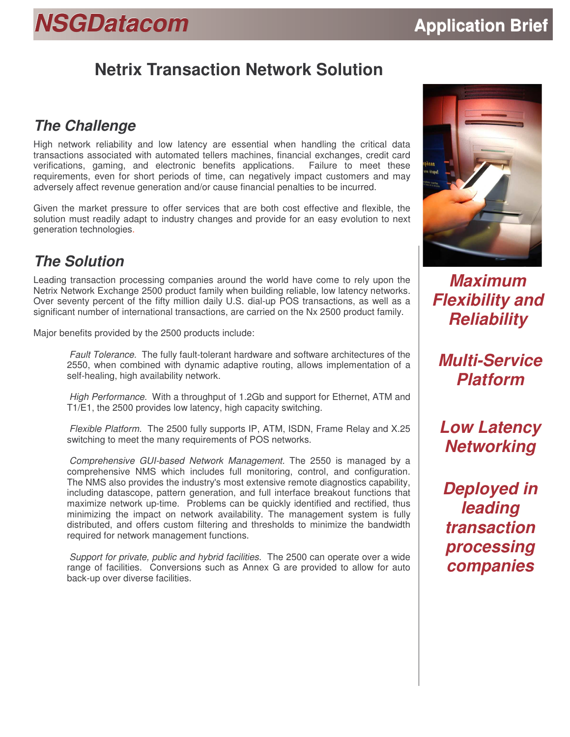# *NSGDatacom* **Application Brief**

# **Netrix Transaction Network Solution**

### *The Challenge*

High network reliability and low latency are essential when handling the critical data transactions associated with automated tellers machines, financial exchanges, credit card verifications, gaming, and electronic benefits applications. Failure to meet these requirements, even for short periods of time, can negatively impact customers and may adversely affect revenue generation and/or cause financial penalties to be incurred.

Given the market pressure to offer services that are both cost effective and flexible, the solution must readily adapt to industry changes and provide for an easy evolution to next generation technologies.

# *The Solution*

Leading transaction processing companies around the world have come to rely upon the Netrix Network Exchange 2500 product family when building reliable, low latency networks. Over seventy percent of the fifty million daily U.S. dial-up POS transactions, as well as a significant number of international transactions, are carried on the Nx 2500 product family.

Major benefits provided by the 2500 products include:

*Fault Tolerance.* The fully fault-tolerant hardware and software architectures of the 2550, when combined with dynamic adaptive routing, allows implementation of a self-healing, high availability network.

*High Performance.* With a throughput of 1.2Gb and support for Ethernet, ATM and T1/E1, the 2500 provides low latency, high capacity switching.

*Flexible Platform.* The 2500 fully supports IP, ATM, ISDN, Frame Relay and X.25 switching to meet the many requirements of POS networks.

*Comprehensive GUI-based Network Management.* The 2550 is managed by a comprehensive NMS which includes full monitoring, control, and configuration. The NMS also provides the industry's most extensive remote diagnostics capability, including datascope, pattern generation, and full interface breakout functions that maximize network up-time. Problems can be quickly identified and rectified, thus minimizing the impact on network availability. The management system is fully distributed, and offers custom filtering and thresholds to minimize the bandwidth required for network management functions.

*Support for private, public and hybrid facilities.* The 2500 can operate over a wide range of facilities. Conversions such as Annex G are provided to allow for auto back-up over diverse facilities.



*Maximum Flexibility and Reliability*

*Multi-Service Platform*

*Low Latency Networking*

*Deployed in leading transaction processing companies*